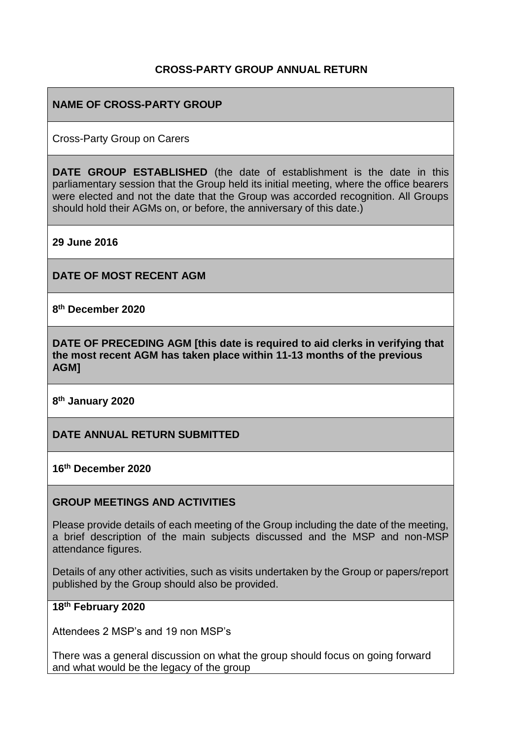## **CROSS-PARTY GROUP ANNUAL RETURN**

## **NAME OF CROSS-PARTY GROUP**

Cross-Party Group on Carers

**DATE GROUP ESTABLISHED** (the date of establishment is the date in this parliamentary session that the Group held its initial meeting, where the office bearers were elected and not the date that the Group was accorded recognition. All Groups should hold their AGMs on, or before, the anniversary of this date.)

**29 June 2016**

**DATE OF MOST RECENT AGM**

**8 th December 2020**

**DATE OF PRECEDING AGM [this date is required to aid clerks in verifying that the most recent AGM has taken place within 11-13 months of the previous AGM]**

**8 th January 2020**

**DATE ANNUAL RETURN SUBMITTED**

**16 th December 2020**

#### **GROUP MEETINGS AND ACTIVITIES**

Please provide details of each meeting of the Group including the date of the meeting, a brief description of the main subjects discussed and the MSP and non-MSP attendance figures.

Details of any other activities, such as visits undertaken by the Group or papers/report published by the Group should also be provided.

#### **18th February 2020**

Attendees 2 MSP's and 19 non MSP's

There was a general discussion on what the group should focus on going forward and what would be the legacy of the group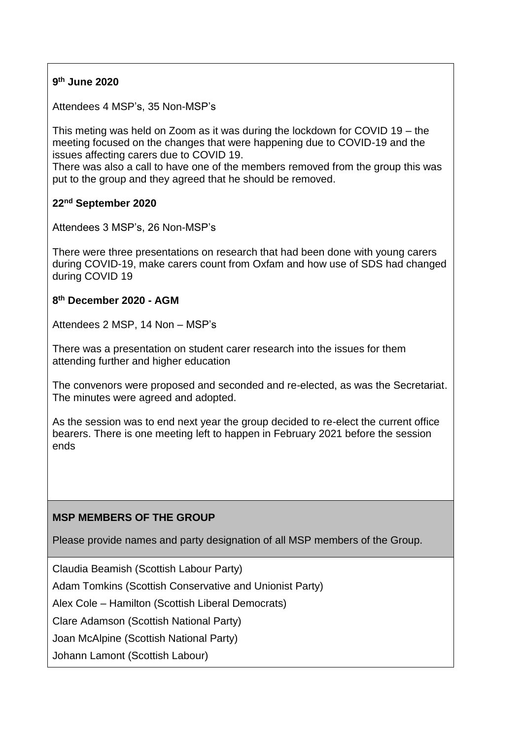## **9 th June 2020**

Attendees 4 MSP's, 35 Non-MSP's

This meting was held on Zoom as it was during the lockdown for COVID 19 – the meeting focused on the changes that were happening due to COVID-19 and the issues affecting carers due to COVID 19.

There was also a call to have one of the members removed from the group this was put to the group and they agreed that he should be removed.

## **22nd September 2020**

Attendees 3 MSP's, 26 Non-MSP's

There were three presentations on research that had been done with young carers during COVID-19, make carers count from Oxfam and how use of SDS had changed during COVID 19

## **8 th December 2020 - AGM**

Attendees 2 MSP, 14 Non – MSP's

There was a presentation on student carer research into the issues for them attending further and higher education

The convenors were proposed and seconded and re-elected, as was the Secretariat. The minutes were agreed and adopted.

As the session was to end next year the group decided to re-elect the current office bearers. There is one meeting left to happen in February 2021 before the session ends

## **MSP MEMBERS OF THE GROUP**

Please provide names and party designation of all MSP members of the Group.

Claudia Beamish (Scottish Labour Party)

Adam Tomkins (Scottish Conservative and Unionist Party)

Alex Cole – Hamilton (Scottish Liberal Democrats)

Clare Adamson (Scottish National Party)

Joan McAlpine (Scottish National Party)

Johann Lamont (Scottish Labour)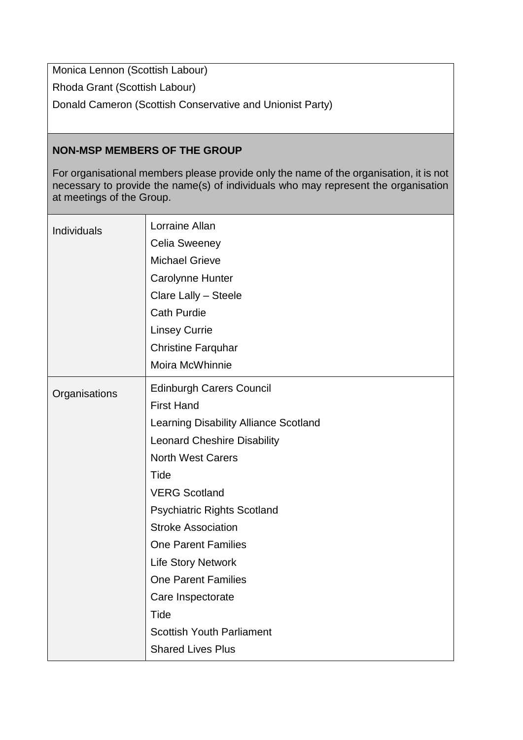Monica Lennon (Scottish Labour)

Rhoda Grant (Scottish Labour)

Donald Cameron (Scottish Conservative and Unionist Party)

# **NON-MSP MEMBERS OF THE GROUP**

For organisational members please provide only the name of the organisation, it is not necessary to provide the name(s) of individuals who may represent the organisation at meetings of the Group.

| Individuals   | Lorraine Allan<br><b>Celia Sweeney</b><br><b>Michael Grieve</b><br>Carolynne Hunter<br>Clare Lally - Steele<br><b>Cath Purdie</b><br><b>Linsey Currie</b><br><b>Christine Farquhar</b><br>Moira McWhinnie                                                                                                                                                                                                                                                |
|---------------|----------------------------------------------------------------------------------------------------------------------------------------------------------------------------------------------------------------------------------------------------------------------------------------------------------------------------------------------------------------------------------------------------------------------------------------------------------|
| Organisations | <b>Edinburgh Carers Council</b><br><b>First Hand</b><br>Learning Disability Alliance Scotland<br><b>Leonard Cheshire Disability</b><br><b>North West Carers</b><br>Tide<br><b>VERG Scotland</b><br><b>Psychiatric Rights Scotland</b><br><b>Stroke Association</b><br><b>One Parent Families</b><br><b>Life Story Network</b><br><b>One Parent Families</b><br>Care Inspectorate<br>Tide<br><b>Scottish Youth Parliament</b><br><b>Shared Lives Plus</b> |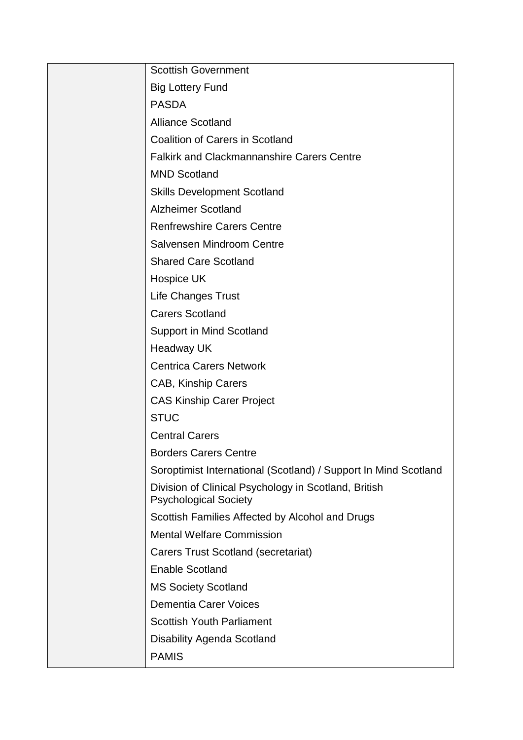| <b>Scottish Government</b>                                                           |
|--------------------------------------------------------------------------------------|
| <b>Big Lottery Fund</b>                                                              |
| <b>PASDA</b>                                                                         |
| <b>Alliance Scotland</b>                                                             |
| <b>Coalition of Carers in Scotland</b>                                               |
| <b>Falkirk and Clackmannanshire Carers Centre</b>                                    |
| <b>MND Scotland</b>                                                                  |
| <b>Skills Development Scotland</b>                                                   |
| <b>Alzheimer Scotland</b>                                                            |
| <b>Renfrewshire Carers Centre</b>                                                    |
| Salvensen Mindroom Centre                                                            |
| <b>Shared Care Scotland</b>                                                          |
| Hospice UK                                                                           |
| <b>Life Changes Trust</b>                                                            |
| <b>Carers Scotland</b>                                                               |
| Support in Mind Scotland                                                             |
| <b>Headway UK</b>                                                                    |
| <b>Centrica Carers Network</b>                                                       |
| CAB, Kinship Carers                                                                  |
| <b>CAS Kinship Carer Project</b>                                                     |
| <b>STUC</b>                                                                          |
| <b>Central Carers</b>                                                                |
| <b>Borders Carers Centre</b>                                                         |
| Soroptimist International (Scotland) / Support In Mind Scotland                      |
| Division of Clinical Psychology in Scotland, British<br><b>Psychological Society</b> |
| Scottish Families Affected by Alcohol and Drugs                                      |
| <b>Mental Welfare Commission</b>                                                     |
| <b>Carers Trust Scotland (secretariat)</b>                                           |
| <b>Enable Scotland</b>                                                               |
| <b>MS Society Scotland</b>                                                           |
| <b>Dementia Carer Voices</b>                                                         |
| <b>Scottish Youth Parliament</b>                                                     |
| <b>Disability Agenda Scotland</b>                                                    |
| <b>PAMIS</b>                                                                         |
|                                                                                      |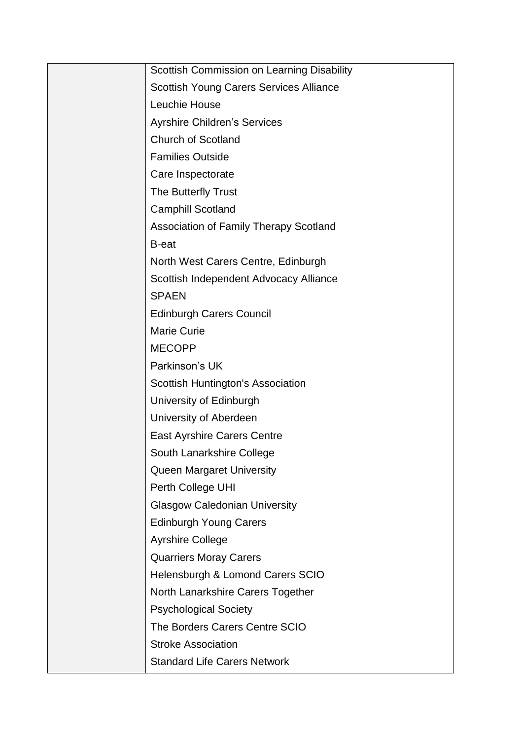| Scottish Commission on Learning Disability    |
|-----------------------------------------------|
| Scottish Young Carers Services Alliance       |
| Leuchie House                                 |
| <b>Ayrshire Children's Services</b>           |
| <b>Church of Scotland</b>                     |
| <b>Families Outside</b>                       |
| Care Inspectorate                             |
| The Butterfly Trust                           |
| <b>Camphill Scotland</b>                      |
| <b>Association of Family Therapy Scotland</b> |
| B-eat                                         |
| North West Carers Centre, Edinburgh           |
| Scottish Independent Advocacy Alliance        |
| <b>SPAEN</b>                                  |
| <b>Edinburgh Carers Council</b>               |
| <b>Marie Curie</b>                            |
| <b>MECOPP</b>                                 |
| Parkinson's UK                                |
| Scottish Huntington's Association             |
| University of Edinburgh                       |
| University of Aberdeen                        |
| <b>East Ayrshire Carers Centre</b>            |
| South Lanarkshire College                     |
| <b>Queen Margaret University</b>              |
| Perth College UHI                             |
| <b>Glasgow Caledonian University</b>          |
| <b>Edinburgh Young Carers</b>                 |
| <b>Ayrshire College</b>                       |
| <b>Quarriers Moray Carers</b>                 |
| Helensburgh & Lomond Carers SCIO              |
| North Lanarkshire Carers Together             |
| <b>Psychological Society</b>                  |
| The Borders Carers Centre SCIO                |
| <b>Stroke Association</b>                     |
| <b>Standard Life Carers Network</b>           |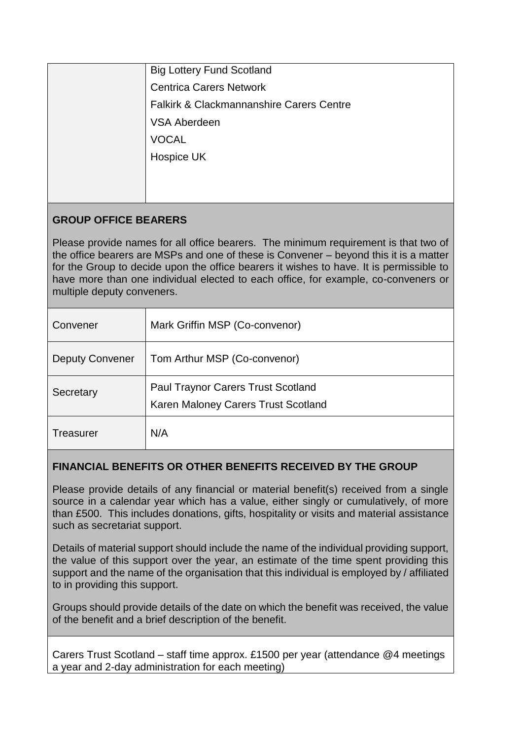# **GROUP OFFICE BEARERS**

Please provide names for all office bearers. The minimum requirement is that two of the office bearers are MSPs and one of these is Convener – beyond this it is a matter for the Group to decide upon the office bearers it wishes to have. It is permissible to have more than one individual elected to each office, for example, co-conveners or multiple deputy conveners.

| Convener               | Mark Griffin MSP (Co-convenor)                                                   |
|------------------------|----------------------------------------------------------------------------------|
| <b>Deputy Convener</b> | Tom Arthur MSP (Co-convenor)                                                     |
| Secretary              | <b>Paul Traynor Carers Trust Scotland</b><br>Karen Maloney Carers Trust Scotland |
| Treasurer              | N/A                                                                              |

# **FINANCIAL BENEFITS OR OTHER BENEFITS RECEIVED BY THE GROUP**

Please provide details of any financial or material benefit(s) received from a single source in a calendar year which has a value, either singly or cumulatively, of more than £500. This includes donations, gifts, hospitality or visits and material assistance such as secretariat support.

Details of material support should include the name of the individual providing support, the value of this support over the year, an estimate of the time spent providing this support and the name of the organisation that this individual is employed by / affiliated to in providing this support.

Groups should provide details of the date on which the benefit was received, the value of the benefit and a brief description of the benefit.

Carers Trust Scotland – staff time approx. £1500 per year (attendance @4 meetings a year and 2-day administration for each meeting)